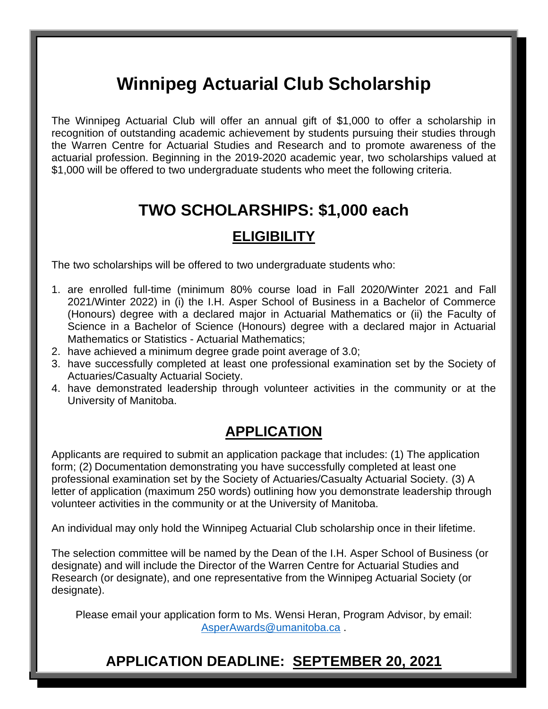# **Winnipeg Actuarial Club Scholarship**

The Winnipeg Actuarial Club will offer an annual gift of \$1,000 to offer a scholarship in recognition of outstanding academic achievement by students pursuing their studies through the Warren Centre for Actuarial Studies and Research and to promote awareness of the actuarial profession. Beginning in the 2019-2020 academic year, two scholarships valued at \$1,000 will be offered to two undergraduate students who meet the following criteria.

# **TWO SCHOLARSHIPS: \$1,000 each**

### **ELIGIBILITY**

The two scholarships will be offered to two undergraduate students who:

- 1. are enrolled full-time (minimum 80% course load in Fall 2020/Winter 2021 and Fall 2021/Winter 2022) in (i) the I.H. Asper School of Business in a Bachelor of Commerce (Honours) degree with a declared major in Actuarial Mathematics or (ii) the Faculty of Science in a Bachelor of Science (Honours) degree with a declared major in Actuarial Mathematics or Statistics - Actuarial Mathematics;
- 2. have achieved a minimum degree grade point average of 3.0;
- 3. have successfully completed at least one professional examination set by the Society of Actuaries/Casualty Actuarial Society.
- 4. have demonstrated leadership through volunteer activities in the community or at the University of Manitoba.

### **APPLICATION**

Applicants are required to submit an application package that includes: (1) The application form; (2) Documentation demonstrating you have successfully completed at least one professional examination set by the Society of Actuaries/Casualty Actuarial Society. (3) A letter of application (maximum 250 words) outlining how you demonstrate leadership through volunteer activities in the community or at the University of Manitoba.

An individual may only hold the Winnipeg Actuarial Club scholarship once in their lifetime.

The selection committee will be named by the Dean of the I.H. Asper School of Business (or designate) and will include the Director of the Warren Centre for Actuarial Studies and Research (or designate), and one representative from the Winnipeg Actuarial Society (or designate).

Please email your application form to Ms. Wensi Heran, Program Advisor, by email: [AsperAwards@umanitoba.ca](mailto:AsperAwards@umanitoba.ca) .

## **APPLICATION DEADLINE: SEPTEMBER 20, 2021**